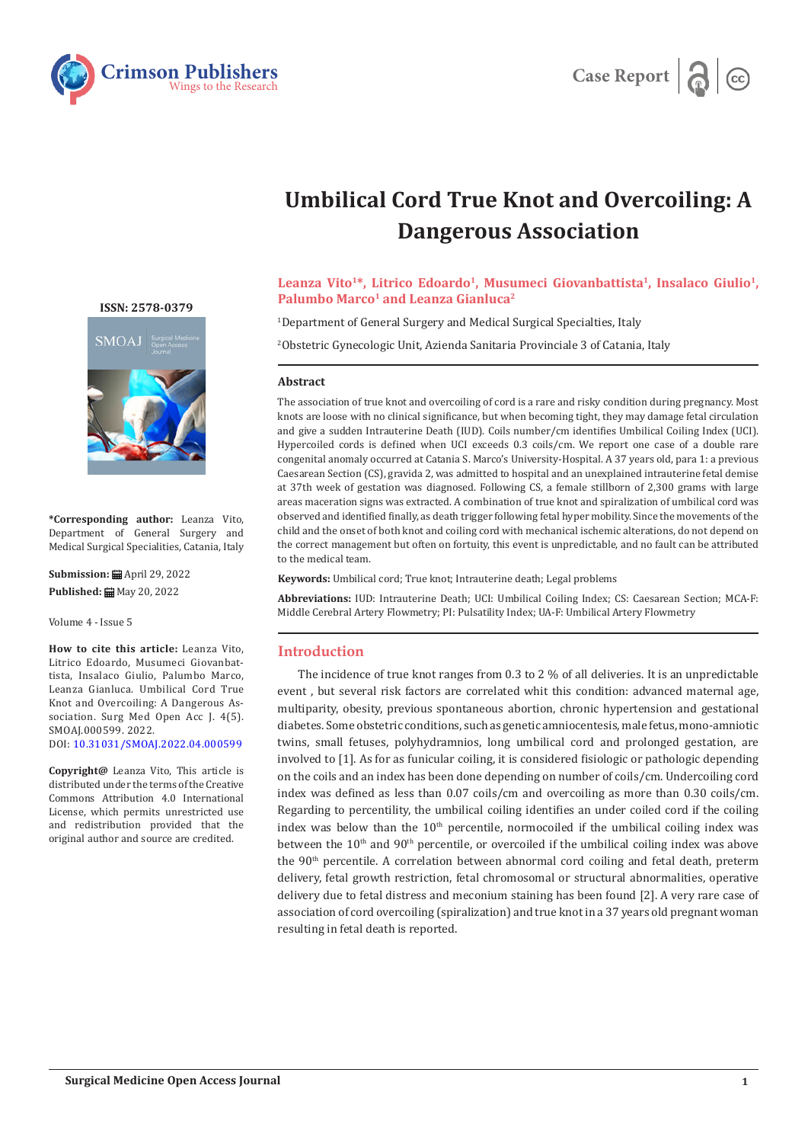



# **Umbilical Cord True Knot and Overcoiling: A Dangerous Association**

# Leanza Vito<sup>1\*</sup>, Litrico Edoardo<sup>1</sup>, Musumeci Giovanbattista<sup>1</sup>, Insalaco Giulio<sup>1</sup>, **Palumbo Marco<sup>1</sup> and Leanza Gianluca<sup>2</sup>**

1 Department of General Surgery and Medical Surgical Specialties, Italy

2 Obstetric Gynecologic Unit, Azienda Sanitaria Provinciale 3 of Catania, Italy

# **Abstract**

The association of true knot and overcoiling of cord is a rare and risky condition during pregnancy. Most knots are loose with no clinical significance, but when becoming tight, they may damage fetal circulation and give a sudden Intrauterine Death (IUD). Coils number/cm identifies Umbilical Coiling Index (UCI). Hypercoiled cords is defined when UCI exceeds 0.3 coils/cm. We report one case of a double rare congenital anomaly occurred at Catania S. Marco's University-Hospital. A 37 years old, para 1: a previous Caesarean Section (CS), gravida 2, was admitted to hospital and an unexplained intrauterine fetal demise at 37th week of gestation was diagnosed. Following CS, a female stillborn of 2,300 grams with large areas maceration signs was extracted. A combination of true knot and spiralization of umbilical cord was observed and identified finally, as death trigger following fetal hyper mobility. Since the movements of the child and the onset of both knot and coiling cord with mechanical ischemic alterations, do not depend on the correct management but often on fortuity, this event is unpredictable, and no fault can be attributed to the medical team.

**Keywords:** Umbilical cord; True knot; Intrauterine death; Legal problems

**Abbreviations:** IUD: Intrauterine Death; UCI: Umbilical Coiling Index; CS: Caesarean Section; MCA-F: Middle Cerebral Artery Flowmetry; PI: Pulsatility Index; UA-F: Umbilical Artery Flowmetry

# **Introduction**

The incidence of true knot ranges from 0.3 to 2 % of all deliveries. It is an unpredictable event , but several risk factors are correlated whit this condition: advanced maternal age, multiparity, obesity, previous spontaneous abortion, chronic hypertension and gestational diabetes. Some obstetric conditions, such as genetic amniocentesis, male fetus, mono-amniotic twins, small fetuses, polyhydramnios, long umbilical cord and prolonged gestation, are involved to [1]. As for as funicular coiling, it is considered fisiologic or pathologic depending on the coils and an index has been done depending on number of coils/cm. Undercoiling cord index was defined as less than 0.07 coils/cm and overcoiling as more than 0.30 coils/cm. Regarding to percentility, the umbilical coiling identifies an under coiled cord if the coiling index was below than the  $10<sup>th</sup>$  percentile, normocoiled if the umbilical coiling index was between the  $10<sup>th</sup>$  and  $90<sup>th</sup>$  percentile, or overcoiled if the umbilical coiling index was above the 90th percentile. A correlation between abnormal cord coiling and fetal death, preterm delivery, fetal growth restriction, fetal chromosomal or structural abnormalities, operative delivery due to fetal distress and meconium staining has been found [2]. A very rare case of association of cord overcoiling (spiralization) and true knot in a 37 years old pregnant woman resulting in fetal death is reported.

**[ISSN: 2578-0379](https://crimsonpublishers.com/smoaj)**



**\*Corresponding author:** Leanza Vito, Department of General Surgery and Medical Surgical Specialities, Catania, Italy

**Submission:** April 29, 2022 **Published: ■ May 20, 2022** 

Volume 4 - Issue 5

**How to cite this article:** Leanza Vito, Litrico Edoardo, Musumeci Giovanbattista, Insalaco Giulio, Palumbo Marco, Leanza Gianluca. Umbilical Cord True Knot and Overcoiling: A Dangerous Association. Surg Med Open Acc J. 4(5). SMOAJ.000599. 2022. DOI: [10.31031/SMOAJ.2022.04.000599](http://dx.doi.org/10.31031/SMOAJ.2022.04.000599)

**Copyright@** Leanza Vito, This article is distributed under the terms of the Creative Commons Attribution 4.0 International License, which permits unrestricted use and redistribution provided that the original author and source are credited.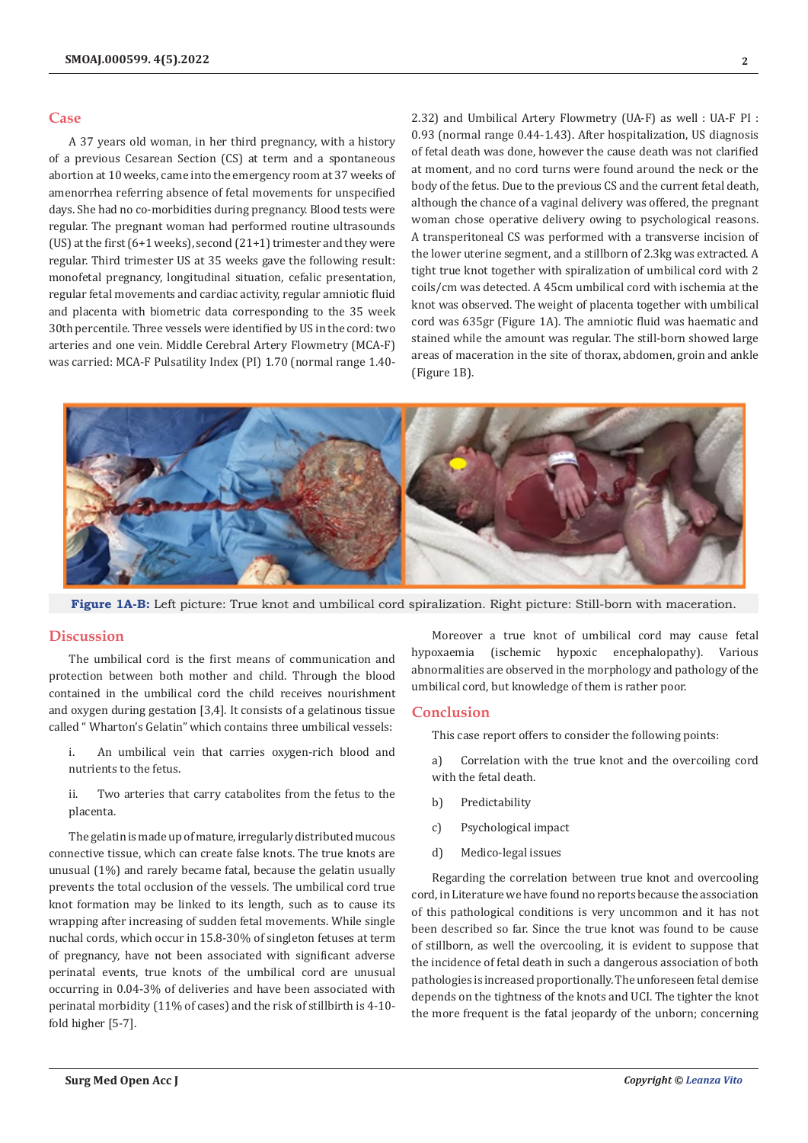### **Case**

A 37 years old woman, in her third pregnancy, with a history of a previous Cesarean Section (CS) at term and a spontaneous abortion at 10 weeks, came into the emergency room at 37 weeks of amenorrhea referring absence of fetal movements for unspecified days. She had no co-morbidities during pregnancy. Blood tests were regular. The pregnant woman had performed routine ultrasounds (US) at the first (6+1 weeks), second (21+1) trimester and they were regular. Third trimester US at 35 weeks gave the following result: monofetal pregnancy, longitudinal situation, cefalic presentation, regular fetal movements and cardiac activity, regular amniotic fluid and placenta with biometric data corresponding to the 35 week 30th percentile. Three vessels were identified by US in the cord: two arteries and one vein. Middle Cerebral Artery Flowmetry (MCA-F) was carried: MCA-F Pulsatility Index (PI) 1.70 (normal range 1.402.32) and Umbilical Artery Flowmetry (UA-F) as well : UA-F PI : 0.93 (normal range 0.44-1.43). After hospitalization, US diagnosis of fetal death was done, however the cause death was not clarified at moment, and no cord turns were found around the neck or the body of the fetus. Due to the previous CS and the current fetal death, although the chance of a vaginal delivery was offered, the pregnant woman chose operative delivery owing to psychological reasons. A transperitoneal CS was performed with a transverse incision of the lower uterine segment, and a stillborn of 2.3kg was extracted. A tight true knot together with spiralization of umbilical cord with 2 coils/cm was detected. A 45cm umbilical cord with ischemia at the knot was observed. The weight of placenta together with umbilical cord was 635gr (Figure 1A). The amniotic fluid was haematic and stained while the amount was regular. The still-born showed large areas of maceration in the site of thorax, abdomen, groin and ankle (Figure 1B).



**Figure 1A-B:** Left picture: True knot and umbilical cord spiralization. Right picture: Still-born with maceration.

### **Discussion**

The umbilical cord is the first means of communication and protection between both mother and child. Through the blood contained in the umbilical cord the child receives nourishment and oxygen during gestation [3,4]. It consists of a gelatinous tissue called " Wharton's Gelatin" which contains three umbilical vessels:

- i. An umbilical vein that carries oxygen-rich blood and nutrients to the fetus.
- ii. Two arteries that carry catabolites from the fetus to the placenta.

The gelatin is made up of mature, irregularly distributed mucous connective tissue, which can create false knots. The true knots are unusual (1%) and rarely became fatal, because the gelatin usually prevents the total occlusion of the vessels. The umbilical cord true knot formation may be linked to its length, such as to cause its wrapping after increasing of sudden fetal movements. While single nuchal cords, which occur in 15.8-30% of singleton fetuses at term of pregnancy, have not been associated with significant adverse perinatal events, true knots of the umbilical cord are unusual occurring in 0.04-3% of deliveries and have been associated with perinatal morbidity (11% of cases) and the risk of stillbirth is 4-10 fold higher [5-7].

Moreover a true knot of umbilical cord may cause fetal hypoxaemia (ischemic hypoxic encephalopathy). Various abnormalities are observed in the morphology and pathology of the umbilical cord, but knowledge of them is rather poor.

#### **Conclusion**

This case report offers to consider the following points:

- a) Correlation with the true knot and the overcoiling cord with the fetal death.
- b) Predictability
- c) Psychological impact
- d) Medico-legal issues

Regarding the correlation between true knot and overcooling cord, in Literature we have found no reports because the association of this pathological conditions is very uncommon and it has not been described so far. Since the true knot was found to be cause of stillborn, as well the overcooling, it is evident to suppose that the incidence of fetal death in such a dangerous association of both pathologies is increased proportionally. The unforeseen fetal demise depends on the tightness of the knots and UCI. The tighter the knot the more frequent is the fatal jeopardy of the unborn; concerning